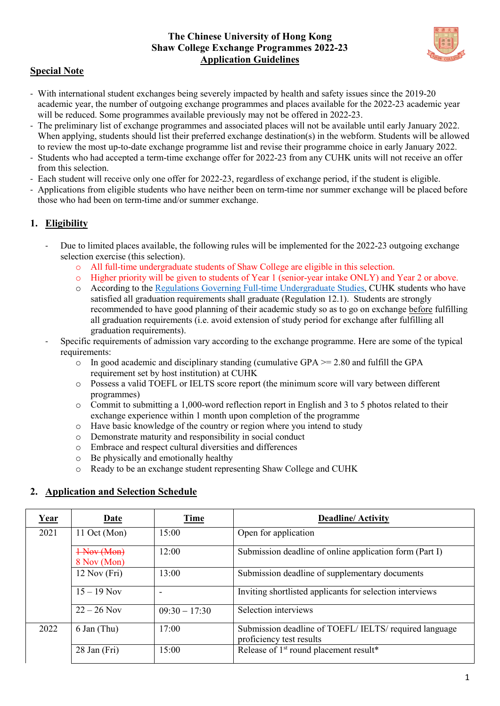## **The Chinese University of Hong Kong Shaw College Exchange Programmes 2022-23 Application Guidelines**



# **Special Note**

- With international student exchanges being severely impacted by health and safety issues since the 2019-20 academic year, the number of outgoing exchange programmes and places available for the 2022-23 academic year will be reduced. Some programmes available previously may not be offered in 2022-23.
- The preliminary list of exchange programmes and associated places will not be available until early January 2022. When applying, students should list their preferred exchange destination(s) in the webform. Students will be allowed to review the most up-to-date exchange programme list and revise their programme choice in early January 2022.
- Students who had accepted a term-time exchange offer for 2022-23 from any CUHK units will not receive an offer from this selection.
- Each student will receive only one offer for 2022-23, regardless of exchange period, if the student is eligible.
- Applications from eligible students who have neither been on term-time nor summer exchange will be placed before those who had been on term-time and/or summer exchange.

# **1. Eligibility**

- Due to limited places available, the following rules will be implemented for the 2022-23 outgoing exchange selection exercise (this selection).
	- o All full-time undergraduate students of Shaw College are eligible in this selection.
	- o Higher priority will be given to students of Year 1 (senior-year intake ONLY) and Year 2 or above.
	- o According to th[e Regulations Governing Full-time Undergraduate Studies,](http://rgsntl.rgs.cuhk.edu.hk/aqs_prd_applx/Public/Handbook/Default.aspx?id=1543&tv=T&lang=en) CUHK students who have satisfied all graduation requirements shall graduate (Regulation 12.1). Students are strongly recommended to have good planning of their academic study so as to go on exchange before fulfilling all graduation requirements (i.e. avoid extension of study period for exchange after fulfilling all graduation requirements).
- Specific requirements of admission vary according to the exchange programme. Here are some of the typical requirements:
	- o In good academic and disciplinary standing (cumulative GPA >= 2.80 and fulfill the GPA requirement set by host institution) at CUHK
	- o Possess a valid TOEFL or IELTS score report (the minimum score will vary between different programmes)
	- $\circ$  Commit to submitting a 1,000-word reflection report in English and 3 to 5 photos related to their exchange experience within 1 month upon completion of the programme
	- $\circ$  Have basic knowledge of the country or region where you intend to study  $\circ$  Demonstrate maturity and responsibility in social conduct
	- o Demonstrate maturity and responsibility in social conduct<br>
	o Embrace and respect cultural diversities and differences
	- Embrace and respect cultural diversities and differences
	- o Be physically and emotionally healthy
	- o Ready to be an exchange student representing Shaw College and CUHK

# **2. Application and Selection Schedule**

| <u>Year</u> | Date                       | <b>Time</b>     | <b>Deadline/Activity</b>                                                         |
|-------------|----------------------------|-----------------|----------------------------------------------------------------------------------|
| 2021        | 11 Oct (Mon)               | 15:00           | Open for application                                                             |
|             | 1 Nov (Mon)<br>8 Nov (Mon) | 12:00           | Submission deadline of online application form (Part I)                          |
|             | $12$ Nov (Fri)             | 13:00           | Submission deadline of supplementary documents                                   |
|             | $15 - 19$ Nov              |                 | Inviting shortlisted applicants for selection interviews                         |
|             | $22 - 26$ Nov              | $09:30 - 17:30$ | Selection interviews                                                             |
| 2022        | 6 Jan (Thu)                | 17:00           | Submission deadline of TOEFL/IELTS/required language<br>proficiency test results |
|             | $28$ Jan (Fri)             | 15:00           | Release of 1 <sup>st</sup> round placement result*                               |